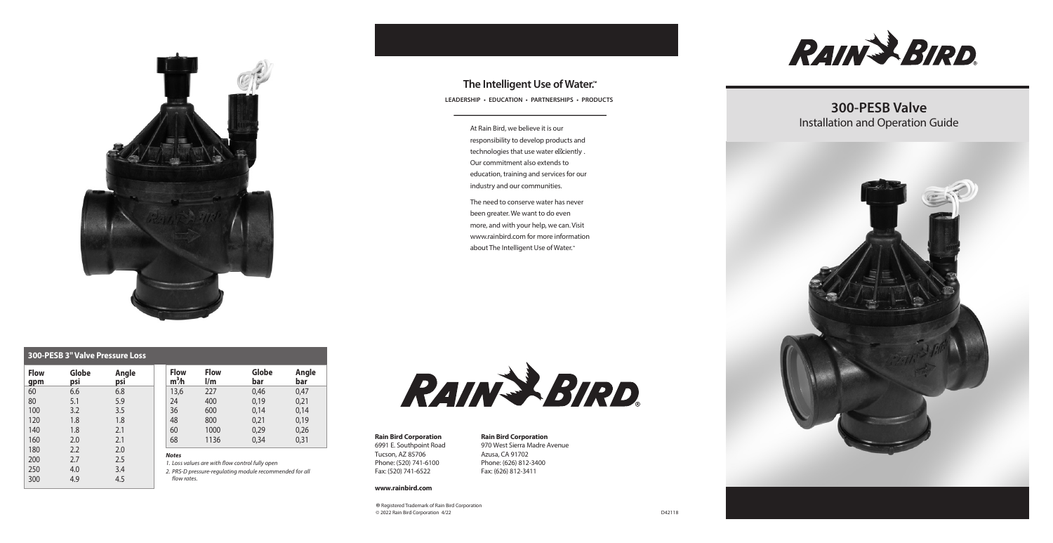**RAIN & BIRD** 

The need to conserve water has never been greater. We want to do even more, and with your help, we can. Visit www.rainbird.com for more information about The Intelligent Use of Water.<sup>™</sup>

At Rain Bird, we believe it is our responsibility to develop products and technologies that use water e ciently . Our commitment also extends to education, training and services for our industry and our communities.



## **The Intelligent Use of Water.™**

**LEADERSHIP • EDUCATION • PARTNERSHIPS • PRODUCTS**

#### **Rain Bird Corporation**

6991 E. Southpoint Road Tucson, AZ 85706 Phone: (520) 741-6100 Fax: (520) 741-6522

#### **www.rainbird.com**

**Rain Bird Corporation** 970 West Sierra Madre Avenue Azusa, CA 91702 Phone: (626) 812-3400 Fax: (626) 812-3411

® Registered Trademark of Rain Bird Corporation © 2022 Rain Bird Corporation 4/22

# **300-PESB Valve** Installation and Operation Guide



| <b>300-PESB 3" Valve Pressure Loss</b> |              |              |    |                                                                                                                                           |                              |              |              |
|----------------------------------------|--------------|--------------|----|-------------------------------------------------------------------------------------------------------------------------------------------|------------------------------|--------------|--------------|
| <b>Flow</b><br>gpm                     | Globe<br>psi | Angle<br>psi |    | <b>Flow</b><br>$m3$ h                                                                                                                     | <b>Flow</b><br>$\mathsf{Im}$ | Globe<br>bar | Angle<br>bar |
| 60                                     | 6.6          | 6.8          |    | 13,6                                                                                                                                      | 227                          | 0,46         | 0,47         |
| 80                                     | 5.1          | 5.9          | 24 |                                                                                                                                           | 400                          | 0,19         | 0,21         |
| 100                                    | 3.2          | 3.5          | 36 |                                                                                                                                           | 600                          | 0,14         | 0,14         |
| 120                                    | 1.8          | 1.8          | 48 |                                                                                                                                           | 800                          | 0.21         | 0,19         |
| 140                                    | 1.8          | 2.1          | 60 |                                                                                                                                           | 1000                         | 0,29         | 0,26         |
| 160                                    | 2.0          | 2.1          | 68 |                                                                                                                                           | 1136                         | 0,34         | 0,31         |
| 180                                    | 2.2          | 2.0          |    |                                                                                                                                           |                              |              |              |
| 200                                    | 2.7          | 2.5          |    | <b>Notes</b><br>1. Loss values are with flow control fully open<br>2. PRS-D pressure-regulating module recommended for all<br>flow rates. |                              |              |              |
| 250                                    | 4.0          | 3.4          |    |                                                                                                                                           |                              |              |              |
| 300                                    | 4.9          | 4.5          |    |                                                                                                                                           |                              |              |              |